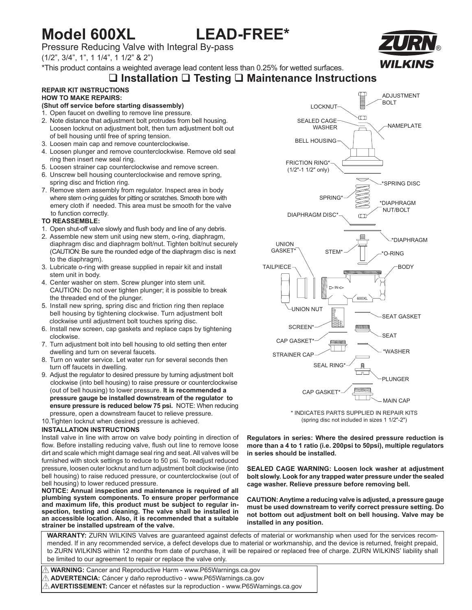## **Model 600XL LEAD-FREE\***

Pressure Reducing Valve with Integral By-pass

(1/2", 3/4", 1", 1 1/4", 1 1/2" & 2")

\*This product contains a weighted average lead content less than 0.25% for wetted surfaces.

# ® WILKINS

## **Installation Testing Maintenance Instructions**

### **REPAIR KIT INSTRUCTIONS HOW TO MAKE REPAIRS:**

### **(Shut off service before starting disassembly)**

- 1. Open faucet on dwelling to remove line pressure.
- 2. Note distance that adjustment bolt protrudes from bell housing. Loosen locknut on adjustment bolt, then turn adjustment bolt out of bell housing until free of spring tension.
- 3. Loosen main cap and remove counterclockwise.
- 4. Loosen plunger and remove counterclockwise. Remove old seal ring then insert new seal ring.
- 5. Loosen strainer cap counterclockwise and remove screen.
- 6. Unscrew bell housing counterclockwise and remove spring, spring disc and friction ring.
- 7. Remove stem assembly from regulator. Inspect area in body where stem o-ring guides for pitting or scratches. Smooth bore with emery cloth if needed. This area must be smooth for the valve to function correctly.

#### **TO REASSEMBLE:**

- 1. Open shut-off valve slowly and flush body and line of any debris.
- 2. Assemble new stem unit using new stem, o-ring, diaphragm, diaphragm disc and diaphragm bolt/nut. Tighten bolt/nut securely (CAUTION: Be sure the rounded edge of the diaphragm disc is next to the diaphragm).
- 3. Lubricate o-ring with grease supplied in repair kit and install stem unit in body.
- 4. Center washer on stem. Screw plunger into stem unit. CAUTION: Do not over tighten plunger; it is possible to break the threaded end of the plunger.
- 5. Install new spring, spring disc and friction ring then replace bell housing by tightening clockwise. Turn adjustment bolt clockwise until adjustment bolt touches spring disc.
- 6. Install new screen, cap gaskets and replace caps by tightening clockwise.
- 7. Turn adjustment bolt into bell housing to old setting then enter dwelling and turn on several faucets.
- 8. Turn on water service. Let water run for several seconds then turn off faucets in dwelling.
- 9. Adjust the regulator to desired pressure by turning adjustment bolt clockwise (into bell housing) to raise pressure or counterclockwise (out of bell housing) to lower pressure. **It is recommended a pressure gauge be installed downstream of the regulator to ensure pressure is reduced below 75 psi.** NOTE: When reducing pressure, open a downstream faucet to relieve pressure. 10.Tighten locknut when desired pressure is achieved.

#### **INSTALLATION INSTRUCTIONS**

Install valve in line with arrow on valve body pointing in direction of flow. Before installing reducing valve, flush out line to remove loose dirt and scale which might damage seal ring and seat. All valves will be furnished with stock settings to reduce to 50 psi. To readjust reduced pressure, loosen outer locknut and turn adjustment bolt clockwise (into bell housing) to raise reduced pressure, or counterclockwise (out of bell housing) to lower reduced pressure.

**NOTICE: Annual inspection and maintenance is required of all plumbing system components. To ensure proper performance and maximum life, this product must be subject to regular inspection, testing and cleaning. The valve shall be installed in an accessible location. Also, it is recommended that a suitable strainer be installed upstream of the valve.**



\* INDICATES PARTS SUPPLIED IN REPAIR KITS (spring disc not included in sizes 1 1/2"-2")

**Regulators in series: Where the desired pressure reduction is more than a 4 to 1 ratio (i.e. 200psi to 50psi), multiple regulators in series should be installed.**

**SEALED CAGE WARNING: Loosen lock washer at adjustment bolt slowly. Look for any trapped water pressure under the sealed cage washer. Relieve pressure before removing bell.**

**CAUTION: Anytime a reducing valve is adjusted, a pressure gauge must be used downstream to verify correct pressure setting. Do not bottom out adjustment bolt on bell housing. Valve may be installed in any position.**

**WARRANTY:** ZURN WILKINS Valves are guaranteed against defects of material or workmanship when used for the services recommended. If in any recommended service, a defect develops due to material or workmanship, and the device is returned, freight prepaid, to ZURN WILKINS within 12 months from date of purchase, it will be repaired or replaced free of charge. ZURN WILKINS' liability shall be limited to our agreement to repair or replace the valve only.

 **WARNING:** Cancer and Reproductive Harm - www.P65Warnings.ca.gov ! **ADVERTENCIA:** Cáncer y daño reproductivo - www.P65Warnings.ca.gov !  $\mathop{\triangle}$  **AVERTISSEMENT:** Cancer et néfastes sur la reproduction - www.P65Warnings.ca.gov